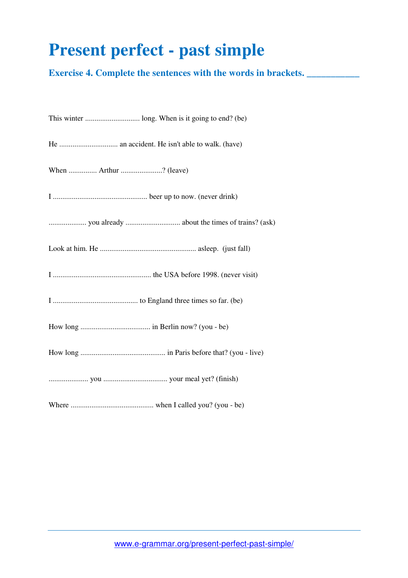## **Present perfect - past simple**

**Exercise 4. Complete the sentences with the words in brackets. \_\_\_\_\_\_\_\_\_\_\_\_\_\_\_** 

| When  Arthur ? (leave) |
|------------------------|
|                        |
|                        |
|                        |
|                        |
|                        |
|                        |
|                        |
|                        |
|                        |